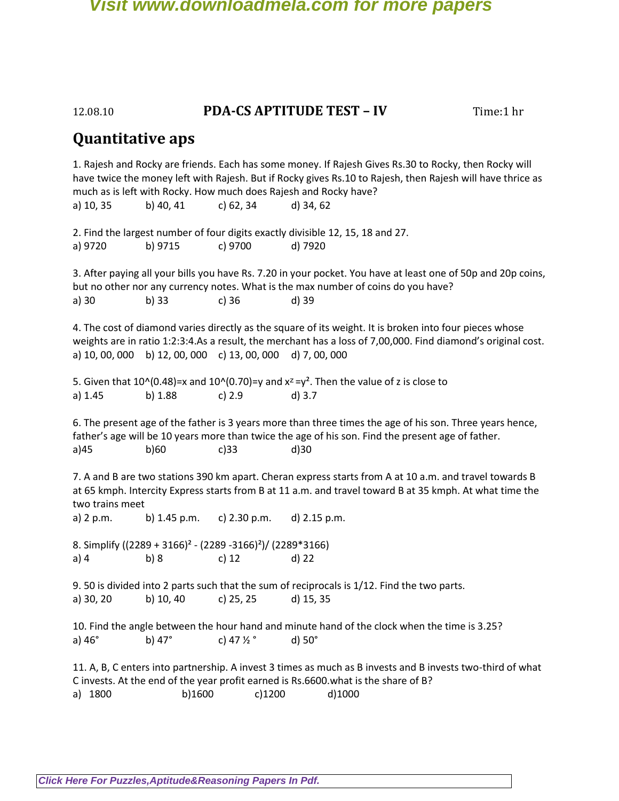# 12.08.10 **PDA-CS APTITUDE TEST – IV** Time:1 hr

# **Quantitative aps**

1. Rajesh and Rocky are friends. Each has some money. If Rajesh Gives Rs.30 to Rocky, then Rocky will have twice the money left with Rajesh. But if Rocky gives Rs.10 to Rajesh, then Rajesh will have thrice as much as is left with Rocky. How much does Rajesh and Rocky have? a) 10, 35 b) 40, 41 c) 62, 34 d) 34, 62 2. Find the largest number of four digits exactly divisible 12, 15, 18 and 27. a) 9720 b) 9715 c) 9700 d) 7920 3. After paying all your bills you have Rs. 7.20 in your pocket. You have at least one of 50p and 20p coins, but no other nor any currency notes. What is the max number of coins do you have? a) 30 b) 33 c) 36 d) 39 4. The cost of diamond varies directly as the square of its weight. It is broken into four pieces whose weights are in ratio 1:2:3:4.As a result, the merchant has a loss of 7,00,000. Find diamond's original cost. a) 10, 00, 000 b) 12, 00, 000 c) 13, 00, 000 d) 7, 00, 000 5. Given that  $10^{\circ}(0.48)$ =x and  $10^{\circ}(0.70)$ =y and  $x^2 = y^2$ . Then the value of z is close to a) 1.45 b) 1.88 c) 2.9 d) 3.7 6. The present age of the father is 3 years more than three times the age of his son. Three years hence, father's age will be 10 years more than twice the age of his son. Find the present age of father. a)45 b)60 c)33 d)30 7. A and B are two stations 390 km apart. Cheran express starts from A at 10 a.m. and travel towards B at 65 kmph. Intercity Express starts from B at 11 a.m. and travel toward B at 35 kmph. At what time the two trains meet a) 2 p.m. b) 1.45 p.m. c) 2.30 p.m. d) 2.15 p.m. 8. Simplify ((2289 + 3166)² - (2289 -3166)²)/ (2289\*3166) a) 4 b) 8 c) 12 d) 22 9. 50 is divided into 2 parts such that the sum of reciprocals is 1/12. Find the two parts. a) 30, 20 b) 10, 40 c) 25, 25 d) 15, 35 10. Find the angle between the hour hand and minute hand of the clock when the time is 3.25? a)  $46^\circ$  b)  $47^\circ$  c)  $47\frac{1}{2}^\circ$  d)  $50^\circ$ 11. A, B, C enters into partnership. A invest 3 times as much as B invests and B invests two-third of what C invests. At the end of the year profit earned is Rs.6600.what is the share of B? a) 1800 b)1600 c)1200 d)1000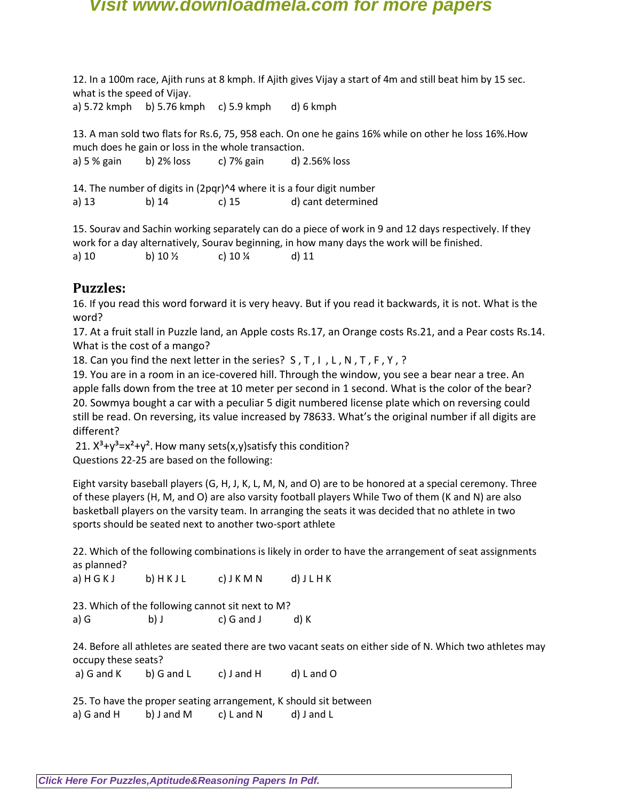12. In a 100m race, Ajith runs at 8 kmph. If Ajith gives Vijay a start of 4m and still beat him by 15 sec. what is the speed of Vijay.

a) 5.72 kmph b) 5.76 kmph c) 5.9 kmph d) 6 kmph

13. A man sold two flats for Rs.6, 75, 958 each. On one he gains 16% while on other he loss 16%.How much does he gain or loss in the whole transaction. a) 5 % gain b) 2% loss c) 7% gain d) 2.56% loss

14. The number of digits in (2pqr)^4 where it is a four digit number

a) 13 b) 14 c) 15 d) cant determined

15. Sourav and Sachin working separately can do a piece of work in 9 and 12 days respectively. If they work for a day alternatively, Sourav beginning, in how many days the work will be finished.

a) 10 b)  $10\frac{1}{2}$  c)  $10\frac{1}{4}$  d) 11

# **Puzzles:**

16. If you read this word forward it is very heavy. But if you read it backwards, it is not. What is the word?

17. At a fruit stall in Puzzle land, an Apple costs Rs.17, an Orange costs Rs.21, and a Pear costs Rs.14. What is the cost of a mango?

18. Can you find the next letter in the series? S , T , I , L , N , T , F , Y , ?

19. You are in a room in an ice-covered hill. Through the window, you see a bear near a tree. An apple falls down from the tree at 10 meter per second in 1 second. What is the color of the bear? 20. Sowmya bought a car with a peculiar 5 digit numbered license plate which on reversing could still be read. On reversing, its value increased by 78633. What's the original number if all digits are different?

21.  $X^3 + y^3 = x^2 + y^2$ . How many sets(x,y) satisfy this condition? Questions 22-25 are based on the following:

Eight varsity baseball players (G, H, J, K, L, M, N, and O) are to be honored at a special ceremony. Three of these players (H, M, and O) are also varsity football players While Two of them (K and N) are also basketball players on the varsity team. In arranging the seats it was decided that no athlete in two sports should be seated next to another two-sport athlete

22. Which of the following combinations is likely in order to have the arrangement of seat assignments as planned?

a) H G K J b) H K J L c) J K M N d) J L H K

23. Which of the following cannot sit next to M? a) G b) J c) G and J d) K

24. Before all athletes are seated there are two vacant seats on either side of N. Which two athletes may occupy these seats?

a) G and K b) G and L c) J and H d) L and O

25. To have the proper seating arrangement, K should sit between a) G and H b) J and M c) L and N d) J and L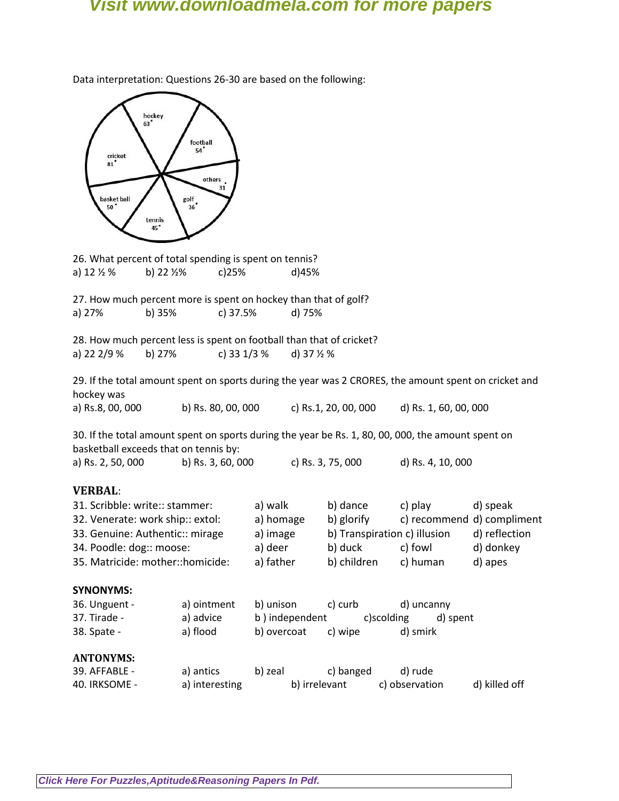hockey<br>63 football 54' cricket  $81$ others  $31$  $\frac{g \circ \mathsf{H}}{36}$ basket ball 50 tennis 26. What percent of total spending is spent on tennis? a) 12 ½ % b) 22 ½% c)25% d)45% 27. How much percent more is spent on hockey than that of golf? a) 27% b) 35% c) 37.5% d) 75% 28. How much percent less is spent on football than that of cricket? a) 22 2/9 % b) 27% c) 33 1/3 % d) 37  $\frac{1}{2}$  % 29. If the total amount spent on sports during the year was 2 CRORES, the amount spent on cricket and hockey was a) Rs.8, 00, 000 b) Rs. 80, 00, 000 c) Rs.1, 20, 00, 000 d) Rs. 1, 60, 00, 000 30. If the total amount spent on sports during the year be Rs. 1, 80, 00, 000, the amount spent on basketball exceeds that on tennis by: a) Rs. 2, 50, 000 b) Rs. 3, 60, 000 c) Rs. 3, 75, 000 d) Rs. 4, 10, 000 **VERBAL**: 31. Scribble: write:: stammer: a) walk b) dance c) play d) speak 32. Venerate: work ship:: extol: a) homage b) glorify c) recommend d) compliment 33. Genuine: Authentic:: mirage a) image b) Transpiration c) illusion d) reflection 34. Poodle: dog:: moose: a) deer b) duck c) fowl d) donkey 35. Matricide: mother::homicide: a) father b) children c) human d) apes **SYNONYMS:** 36. Unguent - a) ointment b) unison c) curb d) uncanny 37. Tirade - a) advice b ) independent c)scolding d) spent 38. Spate - a) flood b) overcoat c) wipe d) smirk **ANTONYMS:** 39. AFFABLE - a) antics b) zeal c) banged d) rude 40. IRKSOME - a) interesting b) irrelevant c) observation d) killed off

Data interpretation: Questions 26-30 are based on the following: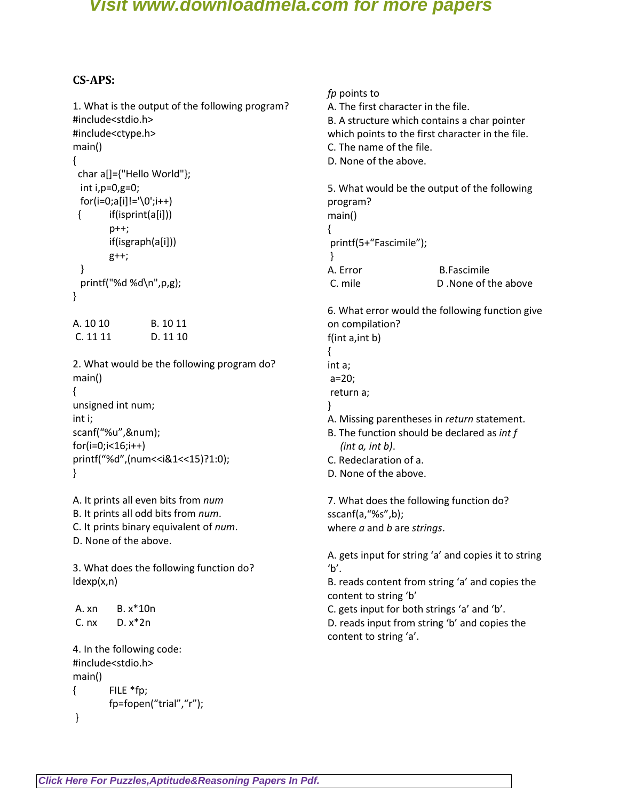#### **CS-APS:**

1. What is the output of the following program? #include<stdio.h> #include<ctype.h> main() { char a[]={"Hello World"}; int i,p=0,g=0;  $for(i=0; a[i] != '0'; i++)$  $\{$  if(isprint(a[i])) p++; if(isgraph(a[i])) g++; } printf("%d %d\n",p,g); } A. 10 10 B. 10 11 C. 11 11 D. 11 10 2. What would be the following program do? main() { unsigned int num; int i; scanf("%u",&num);  $for(i=0; i<16; i++)$ printf("%d",(num<<i&1<<15)?1:0); } A. It prints all even bits from *num*  B. It prints all odd bits from *num*. C. It prints binary equivalent of *num*. D. None of the above. 3. What does the following function do? ldexp(x,n) A. xn B. x\*10n C.  $nx$  D.  $x^*2n$ 4. In the following code: #include<stdio.h> main() { FILE \*fp; fp=fopen("trial","r"); *fp* points to A. The first character in the file. B. A structure which contains a char pointer which points to the first character in the file. C. The name of the file. D. None of the above. 5. What would be the output of the following program? main() { printf(5+"Fascimile"); } A. Error B.Fascimile C. mile D .None of the above 6. What error would the following function give on compilation? f(int a,int b) { int a; a=20; return a; } A. Missing parentheses in *return* statement. B. The function should be declared as *int f (int a, int b)*. C. Redeclaration of a. D. None of the above. 7. What does the following function do? sscanf(a,"%s",b); where *a* and *b* are *strings*. A. gets input for string 'a' and copies it to string  $'b'$ . B. reads content from string 'a' and copies the content to string 'b' C. gets input for both strings 'a' and 'b'. D. reads input from string 'b' and copies the content to string 'a'.

}